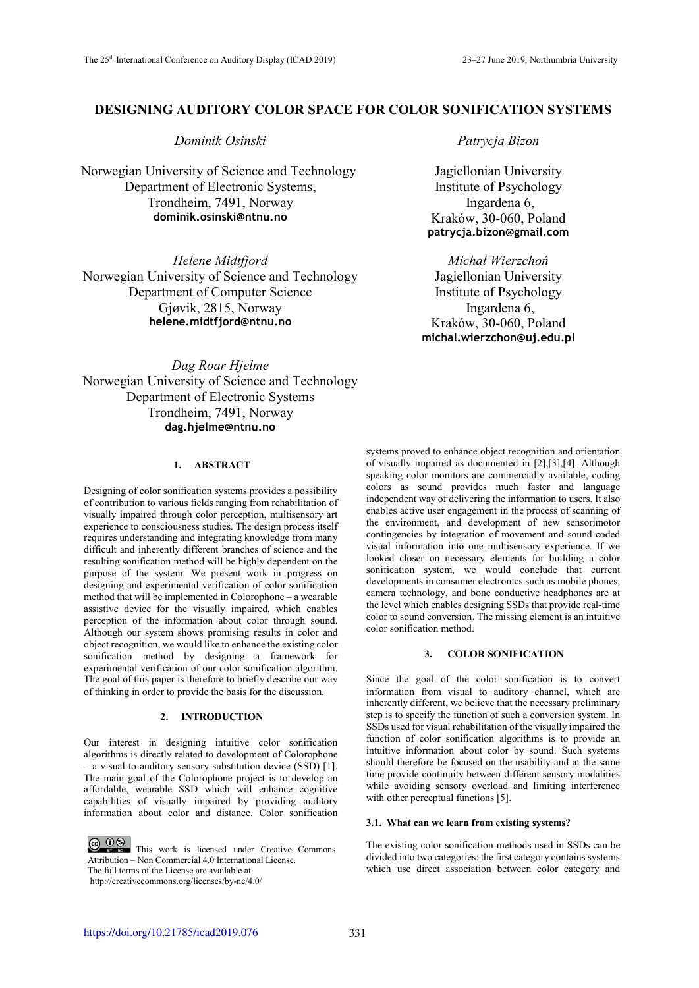# **DESIGNING AUDITORY COLOR SPACE FOR COLOR SONIFICATION SYSTEMS**

*Dominik Osinski Patrycja Bizon* 

Norwegian University of Science and Technology Department of Electronic Systems, Trondheim, 7491, Norway **dominik.osinski@ntnu.no** 

*Helene Midtfjord Michał Wierzchoń* Norwegian University of Science and Technology Department of Computer Science Gjøvik, 2815, Norway **helene.midtfjord@ntnu.no** 

Jagiellonian University Institute of Psychology Ingardena 6, Kraków, 30-060, Poland **patrycja.bizon@gmail.com** 

Jagiellonian University Institute of Psychology Ingardena 6, Kraków, 30-060, Poland **michal.wierzchon@uj.edu.pl** 

*Dag Roar Hjelme* Norwegian University of Science and Technology Department of Electronic Systems Trondheim, 7491, Norway **dag.hjelme@ntnu.no**

## **1. ABSTRACT**

Designing of color sonification systems provides a possibility of contribution to various fields ranging from rehabilitation of visually impaired through color perception, multisensory art experience to consciousness studies. The design process itself requires understanding and integrating knowledge from many difficult and inherently different branches of science and the resulting sonification method will be highly dependent on the purpose of the system. We present work in progress on designing and experimental verification of color sonification method that will be implemented in Colorophone – a wearable assistive device for the visually impaired, which enables perception of the information about color through sound. Although our system shows promising results in color and object recognition, we would like to enhance the existing color sonification method by designing a framework for experimental verification of our color sonification algorithm. The goal of this paper is therefore to briefly describe our way of thinking in order to provide the basis for the discussion.

### **2. INTRODUCTION**

Our interest in designing intuitive color sonification algorithms is directly related to development of Colorophone – a visual-to-auditory sensory substitution device (SSD) [1]. The main goal of the Colorophone project is to develop an affordable, wearable SSD which will enhance cognitive capabilities of visually impaired by providing auditory information about color and distance. Color sonification

**CO**  $\bullet$  **This work is licensed under Creative Commons** Attribution – Non Commercial 4.0 International License.

The full terms of the License are available at

http://creativecommons.org/licenses/by-nc/4.0/

systems proved to enhance object recognition and orientation of visually impaired as documented in [2],[3],[4]. Although speaking color monitors are commercially available, coding colors as sound provides much faster and language independent way of delivering the information to users. It also enables active user engagement in the process of scanning of the environment, and development of new sensorimotor contingencies by integration of movement and sound-coded visual information into one multisensory experience. If we looked closer on necessary elements for building a color sonification system, we would conclude that current developments in consumer electronics such as mobile phones, camera technology, and bone conductive headphones are at the level which enables designing SSDs that provide real-time color to sound conversion. The missing element is an intuitive color sonification method.

# **3. COLOR SONIFICATION**

Since the goal of the color sonification is to convert information from visual to auditory channel, which are inherently different, we believe that the necessary preliminary step is to specify the function of such a conversion system. In SSDs used for visual rehabilitation of the visually impaired the function of color sonification algorithms is to provide an intuitive information about color by sound. Such systems should therefore be focused on the usability and at the same time provide continuity between different sensory modalities while avoiding sensory overload and limiting interference with other perceptual functions [5].

# **3.1. What can we learn from existing systems?**

The existing color sonification methods used in SSDs can be divided into two categories: the first category contains systems which use direct association between color category and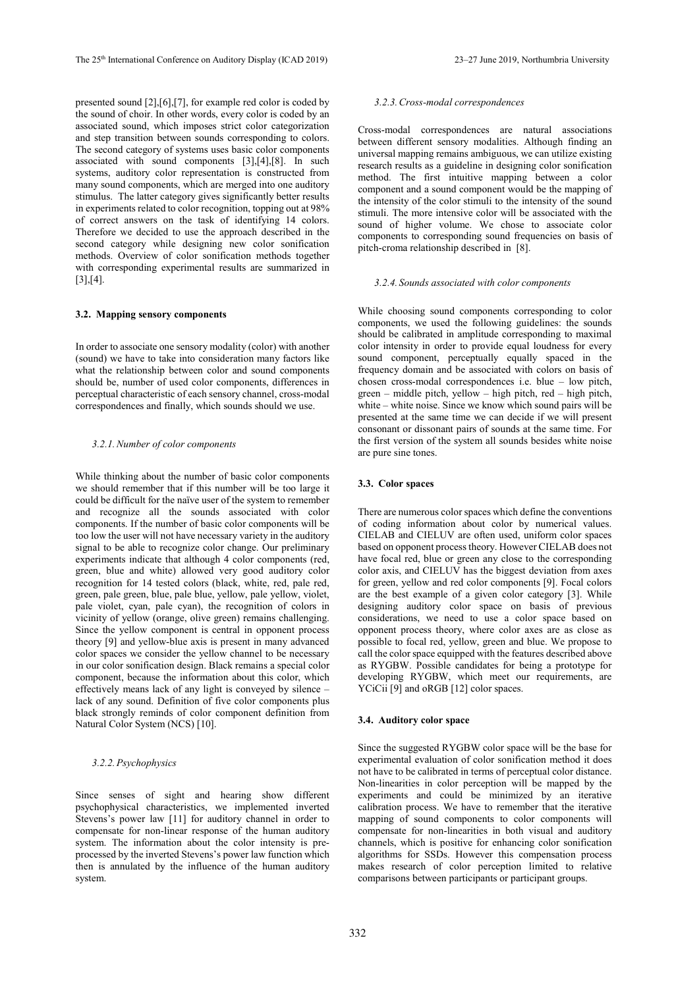presented sound [2],[6],[7], for example red color is coded by the sound of choir. In other words, every color is coded by an associated sound, which imposes strict color categorization and step transition between sounds corresponding to colors. The second category of systems uses basic color components associated with sound components [3],[4],[8]. In such systems, auditory color representation is constructed from many sound components, which are merged into one auditory stimulus. The latter category gives significantly better results in experiments related to color recognition, topping out at 98% of correct answers on the task of identifying 14 colors. Therefore we decided to use the approach described in the second category while designing new color sonification methods. Overview of color sonification methods together with corresponding experimental results are summarized in [3],[4].

#### **3.2. Mapping sensory components**

In order to associate one sensory modality (color) with another (sound) we have to take into consideration many factors like what the relationship between color and sound components should be, number of used color components, differences in perceptual characteristic of each sensory channel, cross-modal correspondences and finally, which sounds should we use.

### *3.2.1.Number of color components*

While thinking about the number of basic color components we should remember that if this number will be too large it could be difficult for the naïve user of the system to remember and recognize all the sounds associated with color components. If the number of basic color components will be too low the user will not have necessary variety in the auditory signal to be able to recognize color change. Our preliminary experiments indicate that although 4 color components (red, green, blue and white) allowed very good auditory color recognition for 14 tested colors (black, white, red, pale red, green, pale green, blue, pale blue, yellow, pale yellow, violet, pale violet, cyan, pale cyan), the recognition of colors in vicinity of yellow (orange, olive green) remains challenging. Since the yellow component is central in opponent process theory [9] and yellow-blue axis is present in many advanced color spaces we consider the yellow channel to be necessary in our color sonification design. Black remains a special color component, because the information about this color, which effectively means lack of any light is conveyed by silence – lack of any sound. Definition of five color components plus black strongly reminds of color component definition from Natural Color System (NCS) [10].

#### *3.2.2.Psychophysics*

Since senses of sight and hearing show different psychophysical characteristics, we implemented inverted Stevens's power law [11] for auditory channel in order to compensate for non-linear response of the human auditory system. The information about the color intensity is preprocessed by the inverted Stevens's power law function which then is annulated by the influence of the human auditory system.

#### *3.2.3.Cross-modal correspondences*

Cross-modal correspondences are natural associations between different sensory modalities. Although finding an universal mapping remains ambiguous, we can utilize existing research results as a guideline in designing color sonification method. The first intuitive mapping between a color component and a sound component would be the mapping of the intensity of the color stimuli to the intensity of the sound stimuli. The more intensive color will be associated with the sound of higher volume. We chose to associate color components to corresponding sound frequencies on basis of pitch-croma relationship described in [8].

#### *3.2.4. Sounds associated with color components*

While choosing sound components corresponding to color components, we used the following guidelines: the sounds should be calibrated in amplitude corresponding to maximal color intensity in order to provide equal loudness for every sound component, perceptually equally spaced in the frequency domain and be associated with colors on basis of chosen cross-modal correspondences i.e. blue – low pitch, green – middle pitch, yellow – high pitch, red – high pitch, white – white noise. Since we know which sound pairs will be presented at the same time we can decide if we will present consonant or dissonant pairs of sounds at the same time. For the first version of the system all sounds besides white noise are pure sine tones.

#### **3.3. Color spaces**

There are numerous color spaces which define the conventions of coding information about color by numerical values. CIELAB and CIELUV are often used, uniform color spaces based on opponent process theory. However CIELAB does not have focal red, blue or green any close to the corresponding color axis, and CIELUV has the biggest deviation from axes for green, yellow and red color components [9]. Focal colors are the best example of a given color category [3]. While designing auditory color space on basis of previous considerations, we need to use a color space based on opponent process theory, where color axes are as close as possible to focal red, yellow, green and blue. We propose to call the color space equipped with the features described above as RYGBW. Possible candidates for being a prototype for developing RYGBW, which meet our requirements, are YCiCii [9] and oRGB [12] color spaces.

#### **3.4. Auditory color space**

Since the suggested RYGBW color space will be the base for experimental evaluation of color sonification method it does not have to be calibrated in terms of perceptual color distance. Non-linearities in color perception will be mapped by the experiments and could be minimized by an iterative calibration process. We have to remember that the iterative mapping of sound components to color components will compensate for non-linearities in both visual and auditory channels, which is positive for enhancing color sonification algorithms for SSDs. However this compensation process makes research of color perception limited to relative comparisons between participants or participant groups.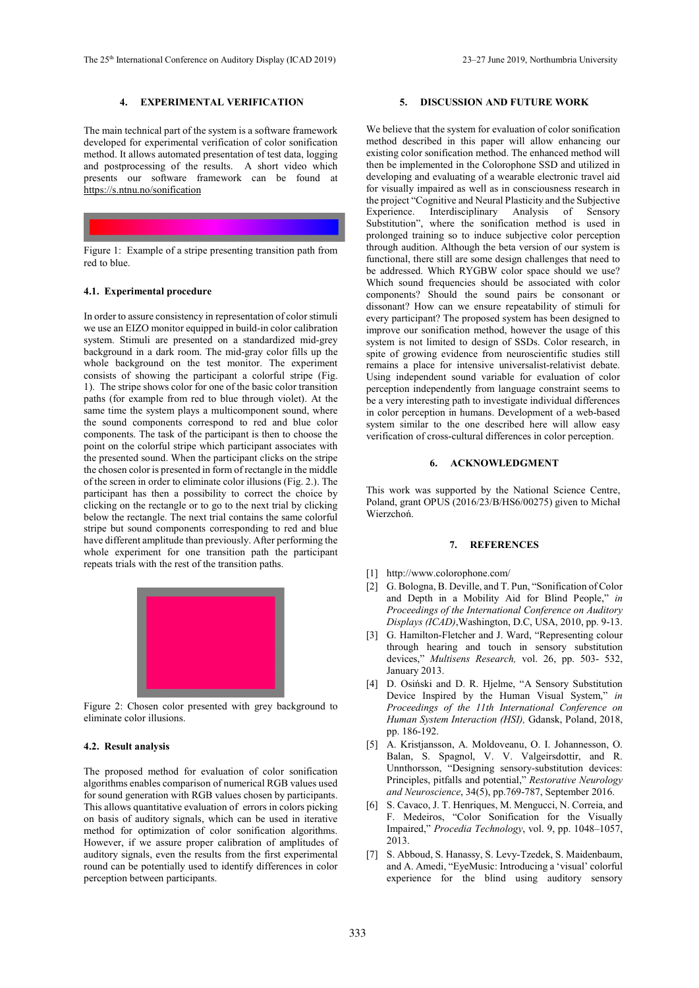# **4. EXPERIMENTAL VERIFICATION**

The main technical part of the system is a software framework developed for experimental verification of color sonification method. It allows automated presentation of test data, logging and postprocessing of the results. A short video which presents our software framework can be found at https://s.ntnu.no/sonification



# red to blue.

#### **4.1. Experimental procedure**

In order to assure consistency in representation of color stimuli we use an EIZO monitor equipped in build-in color calibration system. Stimuli are presented on a standardized mid-grey background in a dark room. The mid-gray color fills up the whole background on the test monitor. The experiment consists of showing the participant a colorful stripe (Fig. 1). The stripe shows color for one of the basic color transition paths (for example from red to blue through violet). At the same time the system plays a multicomponent sound, where the sound components correspond to red and blue color components. The task of the participant is then to choose the point on the colorful stripe which participant associates with the presented sound. When the participant clicks on the stripe the chosen color is presented in form of rectangle in the middle of the screen in order to eliminate color illusions (Fig. 2.). The participant has then a possibility to correct the choice by clicking on the rectangle or to go to the next trial by clicking below the rectangle. The next trial contains the same colorful stripe but sound components corresponding to red and blue have different amplitude than previously. After performing the whole experiment for one transition path the participant repeats trials with the rest of the transition paths.



Figure 2: Chosen color presented with grey background to eliminate color illusions.

### **4.2. Result analysis**

The proposed method for evaluation of color sonification algorithms enables comparison of numerical RGB values used for sound generation with RGB values chosen by participants. This allows quantitative evaluation of errors in colors picking on basis of auditory signals, which can be used in iterative method for optimization of color sonification algorithms. However, if we assure proper calibration of amplitudes of auditory signals, even the results from the first experimental round can be potentially used to identify differences in color perception between participants.

### **5. DISCUSSION AND FUTURE WORK**

We believe that the system for evaluation of color sonification method described in this paper will allow enhancing our existing color sonification method. The enhanced method will then be implemented in the Colorophone SSD and utilized in developing and evaluating of a wearable electronic travel aid for visually impaired as well as in consciousness research in the project "Cognitive and Neural Plasticity and the Subjective Experience. Interdisciplinary Analysis of Sensory Substitution", where the sonification method is used in prolonged training so to induce subjective color perception through audition. Although the beta version of our system is functional, there still are some design challenges that need to be addressed. Which RYGBW color space should we use? Which sound frequencies should be associated with color components? Should the sound pairs be consonant or dissonant? How can we ensure repeatability of stimuli for every participant? The proposed system has been designed to improve our sonification method, however the usage of this system is not limited to design of SSDs. Color research, in spite of growing evidence from neuroscientific studies still remains a place for intensive universalist-relativist debate. Using independent sound variable for evaluation of color perception independently from language constraint seems to be a very interesting path to investigate individual differences in color perception in humans. Development of a web-based system similar to the one described here will allow easy verification of cross-cultural differences in color perception.

#### **6. ACKNOWLEDGMENT**

This work was supported by the National Science Centre, Poland, grant OPUS (2016/23/B/HS6/00275) given to Michał Wierzchoń.

# **7. REFERENCES**

- [1] http://www.colorophone.com/
- [2] G. Bologna, B. Deville, and T. Pun, "Sonification of Color and Depth in a Mobility Aid for Blind People," *in Proceedings of the International Conference on Auditory Displays (ICAD)*,Washington, D.C, USA, 2010, pp. 9-13.
- [3] G. Hamilton-Fletcher and J. Ward, "Representing colour through hearing and touch in sensory substitution devices," *Multisens Research,* vol. 26, pp. 503- 532, January 2013.
- [4] D. Osiński and D. R. Hjelme, "A Sensory Substitution Device Inspired by the Human Visual System," *in Proceedings of the 11th International Conference on Human System Interaction (HSI),* Gdansk, Poland, 2018, pp. 186-192.
- [5] A. Kristjansson, A. Moldoveanu, O. I. Johannesson, O. Balan, S. Spagnol, V. V. Valgeirsdottir, and R. Unnthorsson, "Designing sensory-substitution devices: Principles, pitfalls and potential," *Restorative Neurology and Neuroscience*, 34(5), pp.769-787, September 2016.
- [6] S. Cavaco, J. T. Henriques, M. Mengucci, N. Correia, and F. Medeiros, "Color Sonification for the Visually Impaired," *Procedia Technology*, vol. 9, pp. 1048–1057, 2013.
- [7] S. Abboud, S. Hanassy, S. Levy-Tzedek, S. Maidenbaum, and A. Amedi, "EyeMusic: Introducing a 'visual' colorful experience for the blind using auditory sensory